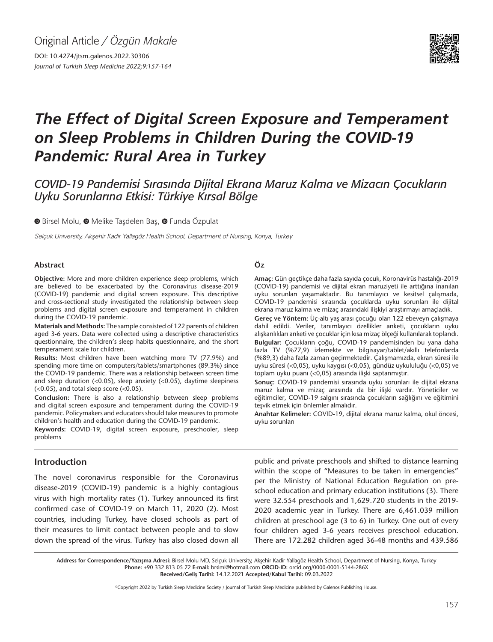DOI: 10.4274/jtsm.galenos.2022.30306 *Journal of Turkish Sleep Medicine 2022;9:157-164*



# *The Effect of Digital Screen Exposure and Temperament on Sleep Problems in Children During the COVID-19 Pandemic: Rural Area in Turkey*

## *COVID-19 Pandemisi Sırasında Dijital Ekrana Maruz Kalma ve Mizacın Çocukların Uyku Sorunlarına Etkisi: Türkiye Kırsal Bölge*

 $\bullet$ Birsel Molu,  $\bullet$  Melike Tasdelen Bas,  $\bullet$  Funda Özpulat

Selçuk University, Akşehir Kadir Yallagöz Health School, Department of Nursing, Konya, Turkey

#### **Abstract**

**Objective:** More and more children experience sleep problems, which are believed to be exacerbated by the Coronavirus disease-2019 (COVID-19) pandemic and digital screen exposure. This descriptive and cross-sectional study investigated the relationship between sleep problems and digital screen exposure and temperament in children during the COVID-19 pandemic.

**Materials and Methods:** The sample consisted of 122 parents of children aged 3-6 years. Data were collected using a descriptive characteristics questionnaire, the children's sleep habits questionnaire, and the short temperament scale for children.

**Results:** Most children have been watching more TV (77.9%) and spending more time on computers/tablets/smartphones (89.3%) since the COVID-19 pandemic. There was a relationship between screen time and sleep duration (<0.05), sleep anxiety (<0.05), daytime sleepiness (<0.05), and total sleep score (<0.05).

**Conclusion:** There is also a relationship between sleep problems and digital screen exposure and temperament during the COVID-19 pandemic. Policymakers and educators should take measures to promote children's health and education during the COVID-19 pandemic.

**Keywords:** COVID-19, digital screen exposure, preschooler, sleep problems

#### **Öz**

**Amaç:** Gün geçtikçe daha fazla sayıda çocuk, Koronavirüs hastalığı-2019 (COVID-19) pandemisi ve dijital ekran maruziyeti ile arttığına inanılan uyku sorunları yaşamaktadır. Bu tanımlayıcı ve kesitsel çalışmada, COVID-19 pandemisi sırasında çocuklarda uyku sorunları ile dijital ekrana maruz kalma ve mizaç arasındaki ilişkiyi araştırmayı amaçladık.

**Gereç ve Yöntem:** Üç-altı yaş arası çocuğu olan 122 ebeveyn çalışmaya dahil edildi. Veriler, tanımlayıcı özellikler anketi, çocukların uyku alışkanlıkları anketi ve çocuklar için kısa mizaç ölçeği kullanılarak toplandı. **Bulgular:** Çocukların çoğu, COVID-19 pandemisinden bu yana daha fazla TV (%77,9) izlemekte ve bilgisayar/tablet/akıllı telefonlarda (%89,3) daha fazla zaman geçirmektedir. Çalışmamızda, ekran süresi ile uyku süresi (<0,05), uyku kaygısı (<0,05), gündüz uykululuğu (<0,05) ve toplam uyku puanı (<0,05) arasında ilişki saptanmıştır.

**Sonuç:** COVID-19 pandemisi sırasında uyku sorunları ile dijital ekrana maruz kalma ve mizaç arasında da bir ilişki vardır. Yöneticiler ve eğitimciler, COVID-19 salgını sırasında çocukların sağlığını ve eğitimini teşvik etmek için önlemler almalıdır.

**Anahtar Kelimeler:** COVID-19, dijital ekrana maruz kalma, okul öncesi, uyku sorunları

#### **Introduction**

The novel coronavirus responsible for the Coronavirus disease-2019 (COVID-19) pandemic is a highly contagious virus with high mortality rates (1). Turkey announced its first confirmed case of COVID-19 on March 11, 2020 (2). Most countries, including Turkey, have closed schools as part of their measures to limit contact between people and to slow down the spread of the virus. Turkey has also closed down all public and private preschools and shifted to distance learning within the scope of "Measures to be taken in emergencies" per the Ministry of National Education Regulation on preschool education and primary education institutions (3). There were 32.554 preschools and 1,629.720 students in the 2019- 2020 academic year in Turkey. There are 6,461.039 million children at preschool age (3 to 6) in Turkey. One out of every four children aged 3-6 years receives preschool education. There are 172.282 children aged 36-48 months and 439.586

Address for Correspondence/Yazışma Adresi: Birsel Molu MD, Selçuk University, Akşehir Kadir Yallagöz Health School, Department of Nursing, Konya, Turkey **Phone:** +90 332 813 05 72 **E-mail:** brslml@hotmail.com **ORCID-ID:** orcid.org/0000-0001-5144-286X **Received/Geliş Tarihi:** 14.12.2021 **Accepted/Kabul Tarihi:** 09.03.2022

©Copyright 2022 by Turkish Sleep Medicine Society / Journal of Turkish Sleep Medicine published by Galenos Publishing House.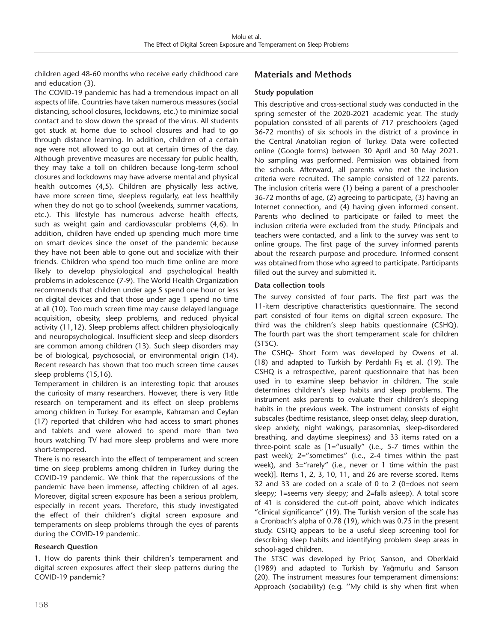children aged 48-60 months who receive early childhood care and education (3).

The COVID-19 pandemic has had a tremendous impact on all aspects of life. Countries have taken numerous measures (social distancing, school closures, lockdowns, etc.) to minimize social contact and to slow down the spread of the virus. All students got stuck at home due to school closures and had to go through distance learning. In addition, children of a certain age were not allowed to go out at certain times of the day. Although preventive measures are necessary for public health, they may take a toll on children because long-term school closures and lockdowns may have adverse mental and physical health outcomes (4,5). Children are physically less active, have more screen time, sleepless regularly, eat less healthily when they do not go to school (weekends, summer vacations, etc.). This lifestyle has numerous adverse health effects, such as weight gain and cardiovascular problems (4,6). In addition, children have ended up spending much more time on smart devices since the onset of the pandemic because they have not been able to gone out and socialize with their friends. Children who spend too much time online are more likely to develop physiological and psychological health problems in adolescence (7-9). The World Health Organization recommends that children under age 5 spend one hour or less on digital devices and that those under age 1 spend no time at all (10). Too much screen time may cause delayed language acquisition, obesity, sleep problems, and reduced physical activity (11,12). Sleep problems affect children physiologically and neuropsychological. Insufficient sleep and sleep disorders are common among children (13). Such sleep disorders may be of biological, psychosocial, or environmental origin (14). Recent research has shown that too much screen time causes sleep problems (15,16).

Temperament in children is an interesting topic that arouses the curiosity of many researchers. However, there is very little research on temperament and its effect on sleep problems among children in Turkey. For example, Kahraman and Ceylan (17) reported that children who had access to smart phones and tablets and were allowed to spend more than two hours watching TV had more sleep problems and were more short-tempered.

There is no research into the effect of temperament and screen time on sleep problems among children in Turkey during the COVID-19 pandemic. We think that the repercussions of the pandemic have been immense, affecting children of all ages. Moreover, digital screen exposure has been a serious problem, especially in recent years. Therefore, this study investigated the effect of their children's digital screen exposure and temperaments on sleep problems through the eyes of parents during the COVID-19 pandemic.

#### **Research Question**

1. How do parents think their children's temperament and digital screen exposures affect their sleep patterns during the COVID-19 pandemic?

### **Materials and Methods**

#### **Study population**

This descriptive and cross-sectional study was conducted in the spring semester of the 2020-2021 academic year. The study population consisted of all parents of 717 preschoolers (aged 36-72 months) of six schools in the district of a province in the Central Anatolian region of Turkey. Data were collected online (Google forms) between 30 April and 30 May 2021. No sampling was performed. Permission was obtained from the schools. Afterward, all parents who met the inclusion criteria were recruited. The sample consisted of 122 parents. The inclusion criteria were (1) being a parent of a preschooler 36-72 months of age, (2) agreeing to participate, (3) having an Internet connection, and (4) having given informed consent. Parents who declined to participate or failed to meet the inclusion criteria were excluded from the study. Principals and teachers were contacted, and a link to the survey was sent to online groups. The first page of the survey informed parents about the research purpose and procedure. Informed consent was obtained from those who agreed to participate. Participants filled out the survey and submitted it.

#### **Data collection tools**

The survey consisted of four parts. The first part was the 11-item descriptive characteristics questionnaire. The second part consisted of four items on digital screen exposure. The third was the children's sleep habits questionnaire (CSHQ). The fourth part was the short temperament scale for children (STSC).

The CSHQ- Short Form was developed by Owens et al. (18) and adapted to Turkish by Perdahlı Fiş et al. (19). The CSHQ is a retrospective, parent questionnaire that has been used in to examine sleep behavior in children. The scale determines children's sleep habits and sleep problems. The instrument asks parents to evaluate their children's sleeping habits in the previous week. The instrument consists of eight subscales (bedtime resistance, sleep onset delay, sleep duration, sleep anxiety, night wakings, parasomnias, sleep-disordered breathing, and daytime sleepiness) and 33 items rated on a three-point scale as [1="usually" (i.e., 5-7 times within the past week); 2="sometimes" (i.e., 2-4 times within the past week), and 3="rarely" (i.e., never or 1 time within the past week)]. Items 1, 2, 3, 10, 11, and 26 are reverse scored. Items 32 and 33 are coded on a scale of 0 to 2 (0=does not seem sleepy; 1=seems very sleepy; and 2=falls asleep). A total score of 41 is considered the cut-off point, above which indicates "clinical significance" (19). The Turkish version of the scale has a Cronbach's alpha of 0.78 (19), which was 0.75 in the present study. CSHQ appears to be a useful sleep screening tool for describing sleep habits and identifying problem sleep areas in school-aged children.

The STSC was developed by Prior, Sanson, and Oberklaid (1989) and adapted to Turkish by Yağmurlu and Sanson (20). The instrument measures four temperament dimensions: Approach (sociability) (e.g. ''My child is shy when first when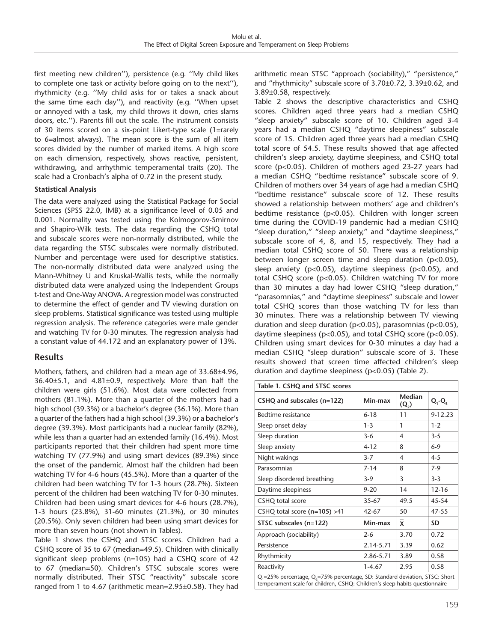first meeting new children''), persistence (e.g. ''My child likes to complete one task or activity before going on to the next''), rhythmicity (e.g. ''My child asks for or takes a snack about the same time each day''), and reactivity (e.g. ''When upset or annoyed with a task, my child throws it down, cries slams doors, etc.''). Parents fill out the scale. The instrument consists of 30 items scored on a six-point Likert-type scale (1=rarely to 6=almost always). The mean score is the sum of all item scores divided by the number of marked items. A high score on each dimension, respectively, shows reactive, persistent, withdrawing, and arrhythmic temperamental traits (20). The scale had a Cronbach's alpha of 0.72 in the present study.

#### **Statistical Analysis**

The data were analyzed using the Statistical Package for Social Sciences (SPSS 22.0, IMB) at a significance level of 0.05 and 0.001. Normality was tested using the Kolmogorov-Smirnov and Shapiro-Wilk tests. The data regarding the CSHQ total and subscale scores were non-normally distributed, while the data regarding the STSC subscales were normally distributed. Number and percentage were used for descriptive statistics. The non-normally distributed data were analyzed using the Mann-Whitney U and Kruskal-Wallis tests, while the normally distributed data were analyzed using the Independent Groups t-test and One-Way ANOVA. A regression model was constructed to determine the effect of gender and TV viewing duration on sleep problems. Statistical significance was tested using multiple regression analysis. The reference categories were male gender and watching TV for 0-30 minutes. The regression analysis had a constant value of 44.172 and an explanatory power of 13%.

#### **Results**

Mothers, fathers, and children had a mean age of 33.68±4.96, 36.40±5.1, and 4.81±0.9, respectively. More than half the children were girls (51.6%). Most data were collected from mothers (81.1%). More than a quarter of the mothers had a high school (39.3%) or a bachelor's degree (36.1%). More than a quarter of the fathers had a high school (39.3%) or a bachelor's degree (39.3%). Most participants had a nuclear family (82%), while less than a quarter had an extended family (16.4%). Most participants reported that their children had spent more time watching TV (77.9%) and using smart devices (89.3%) since the onset of the pandemic. Almost half the children had been watching TV for 4-6 hours (45.5%). More than a quarter of the children had been watching TV for 1-3 hours (28.7%). Sixteen percent of the children had been watching TV for 0-30 minutes. Children had been using smart devices for 4-6 hours (28.7%), 1-3 hours (23.8%), 31-60 minutes (21.3%), or 30 minutes (20.5%). Only seven children had been using smart devices for more than seven hours (not shown in Tables).

Table 1 shows the CSHQ and STSC scores. Children had a CSHQ score of 35 to 67 (median=49.5). Children with clinically significant sleep problems (n=105) had a CSHQ score of 42 to 67 (median=50). Children's STSC subscale scores were normally distributed. Their STSC "reactivity" subscale score ranged from 1 to 4.67 (arithmetic mean=2.95±0.58). They had arithmetic mean STSC "approach (sociability)," "persistence," and "rhythmicity" subscale score of 3.70±0.72, 3.39±0.62, and 3.89±0.58, respectively.

Table 2 shows the descriptive characteristics and CSHQ scores. Children aged three years had a median CSHQ "sleep anxiety" subscale score of 10. Children aged 3-4 years had a median CSHQ "daytime sleepiness" subscale score of 15. Children aged three years had a median CSHQ total score of 54.5. These results showed that age affected children's sleep anxiety, daytime sleepiness, and CSHQ total score (p<0.05). Children of mothers aged 23-27 years had a median CSHQ "bedtime resistance" subscale score of 9. Children of mothers over 34 years of age had a median CSHQ "bedtime resistance" subscale score of 12. These results showed a relationship between mothers' age and children's bedtime resistance (p<0.05). Children with longer screen time during the COVID-19 pandemic had a median CSHQ "sleep duration," "sleep anxiety," and "daytime sleepiness," subscale score of 4, 8, and 15, respectively. They had a median total CSHQ score of 50. There was a relationship between longer screen time and sleep duration (p<0.05), sleep anxiety (p<0.05), daytime sleepiness (p<0.05), and total CSHQ score (p<0.05). Children watching TV for more than 30 minutes a day had lower CSHQ "sleep duration," "parasomnias," and "daytime sleepiness" subscale and lower total CSHQ scores than those watching TV for less than 30 minutes. There was a relationship between TV viewing duration and sleep duration (p<0.05), parasomnias (p<0.05), daytime sleepiness (p<0.05), and total CSHQ score (p<0.05). Children using smart devices for 0-30 minutes a day had a median CSHQ "sleep duration" subscale score of 3. These results showed that screen time affected children's sleep duration and daytime sleepiness (p<0.05) (Table 2).

| Table 1. CSHQ and STSC scores                                                                                                                                                      |            |                   |             |  |  |  |  |  |
|------------------------------------------------------------------------------------------------------------------------------------------------------------------------------------|------------|-------------------|-------------|--|--|--|--|--|
| CSHQ and subscales (n=122)                                                                                                                                                         | Min-max    | Median<br>$(Q_2)$ | $Q_1 - Q_3$ |  |  |  |  |  |
| Bedtime resistance                                                                                                                                                                 | $6 - 18$   | 11                | $9 - 12.23$ |  |  |  |  |  |
| Sleep onset delay                                                                                                                                                                  | $1 - 3$    | 1                 | $1 - 2$     |  |  |  |  |  |
| Sleep duration                                                                                                                                                                     | $3 - 6$    | 4                 | $3 - 5$     |  |  |  |  |  |
| Sleep anxiety                                                                                                                                                                      | $4 - 12$   | 8                 | $6 - 9$     |  |  |  |  |  |
| Night wakings                                                                                                                                                                      | $3 - 7$    | 4                 | $4 - 5$     |  |  |  |  |  |
| Parasomnias                                                                                                                                                                        | $7 - 14$   | 8                 | $7-9$       |  |  |  |  |  |
| Sleep disordered breathing                                                                                                                                                         | $3-9$      | 3                 | $3 - 3$     |  |  |  |  |  |
| Daytime sleepiness                                                                                                                                                                 | $9 - 20$   | 14                | $12 - 16$   |  |  |  |  |  |
| CSHQ total score                                                                                                                                                                   | $35 - 67$  | 49.5              | 45-54       |  |  |  |  |  |
| CSHQ total score $(n=105) > 41$                                                                                                                                                    | 42-67      | 50                | 47-55       |  |  |  |  |  |
| STSC subscales (n=122)                                                                                                                                                             | Min-max    | X                 | SD          |  |  |  |  |  |
| Approach (sociability)                                                                                                                                                             | $2 - 6$    | 3.70              | 0.72        |  |  |  |  |  |
| Persistence                                                                                                                                                                        | 2.14-5.71  | 3.39              | 0.62        |  |  |  |  |  |
| Rhythmicity                                                                                                                                                                        | 2.86-5.71  | 3.89              | 0.58        |  |  |  |  |  |
| Reactivity                                                                                                                                                                         | $1 - 4.67$ | 2.95              | 0.58        |  |  |  |  |  |
| Q <sub>1</sub> =25% percentage, Q <sub>3</sub> =75% percentage, SD: Standard deviation, STSC: Short<br>temperament scale for children, CSHQ: Children's sleep habits questionnaire |            |                   |             |  |  |  |  |  |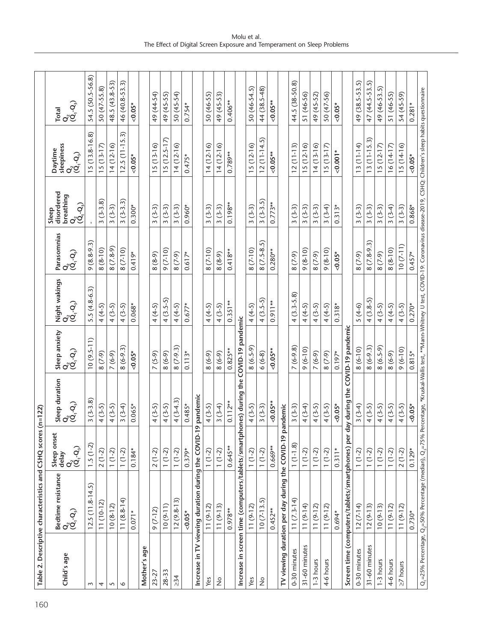|                 | Table 2. Descriptive characteristics and CSHQ scores                                           |                      | $(n=122)$                                                                                                                               |                   |                                                          |                                                                                           |                                                                                                                              |                       |                  |
|-----------------|------------------------------------------------------------------------------------------------|----------------------|-----------------------------------------------------------------------------------------------------------------------------------------|-------------------|----------------------------------------------------------|-------------------------------------------------------------------------------------------|------------------------------------------------------------------------------------------------------------------------------|-----------------------|------------------|
| Child's age     | Bedtime resistance<br>$Q_2$<br>$(Q_1 \cdot Q_3)$                                               | Sleep onset<br>delay | Sleep duration<br>Q<br>(Q̃ <sub>1</sub> -Q <sub>3</sub> )                                                                               | Sleep anxiety     | Night wakings<br>Q<br>(Q̃ <sub>1</sub> -Q <sub>s</sub> ) | Parasomnias                                                                               | disordered<br>breathing<br>Sleep                                                                                             | sleepiness<br>Daytime | Total            |
|                 |                                                                                                | $Q_2$<br>$(Q_1,Q_2)$ |                                                                                                                                         | $Q^2$ , $Q^3$ )   |                                                          | $\overset{\bullet}{\textbf{Q}}_{\textbf{Q}}$ $\overset{\bullet}{\textbf{Q}}_{\textbf{Q}}$ | $\overset{\text{\normalsize Q}}{\overset{\text{\normalsize Q}}{\left(\text{\normalsize Q}_i,\text{\normalsize Q}_j\right)}}$ | ୁ<br>୧୯<br>୧୯         | ୦.୦.<br>ଓ        |
| $\sim$          | $12.5(11.8-14.5)$                                                                              | $1.5(1-2)$           | $3(3-3.8)$                                                                                                                              | $10(9.5-11)$      | $5.5(4.8-6.3)$                                           | $9(8.8-9.3)$                                                                              |                                                                                                                              | $15(13.8-16.8)$       | 54.5 (50.5-56.8) |
| 4               | $11(10-12)$                                                                                    | $2(1-2)$             | $4(3-5)$                                                                                                                                | $(6 - 2)$         | $4(4-5)$                                                 | $(8-10)$<br>$\infty$                                                                      | $3(3-3.8)$                                                                                                                   | $15(13-17)$           | 50 (47-55.8)     |
| 5               | $10(8-12)$                                                                                     | $1(1-2)$             | $4(3-5)$                                                                                                                                | $7(6-9)$          | $4(3-5)$                                                 | $(7.8-9)$<br>$\infty$                                                                     | $3(3-3)$                                                                                                                     | $14(12-16)$           | 48.5 (43.8-53)   |
| $\circ$         | $11(8.8-14)$                                                                                   | $1(1-2)$             | $3(3-4)$                                                                                                                                | $8(6-9.3)$        | $4(3-5)$                                                 | $8(7-10)$                                                                                 | $\widehat{\mathcal{E}}$<br>$3(3-3.$                                                                                          | $12.5(11-15.3)$       | 46 (40.8-53.3)   |
|                 | 0.071                                                                                          | $0.184*$             | $0.065*$                                                                                                                                | $< 0.05*$         | $0.068*$                                                 | $0.419*$                                                                                  | $0.300*$                                                                                                                     | $0.05*$               | $< 0.05*$        |
| age<br>Mother's |                                                                                                |                      |                                                                                                                                         |                   |                                                          |                                                                                           |                                                                                                                              |                       |                  |
| $23 - 27$       | $9(7-12)$                                                                                      | $(1-2)$<br>$\sim$    | $4(3-5)$                                                                                                                                | $7(5-9)$          | $4(4-5)$                                                 | $(8-9)$<br>$^{\circ}$                                                                     | $(3-3)$<br>$\sim$                                                                                                            | $15(13-16)$           | 49 (44-54)       |
| 28-33           | $10(9-11)$                                                                                     | $(1-2)$              | $4(3-5)$                                                                                                                                | $8(6-9)$          | $4(3.5-5)$                                               | $9(7-10)$                                                                                 | $3(3-3)$                                                                                                                     | $15(12.5 - 17)$       | 49 (45-55)       |
| $\geq 34$       | $12(9.8-13)$                                                                                   | $(1-2)$              | $4(3-4.3)$                                                                                                                              | $8(7-9.3)$        | $4(4-5)$                                                 | $(6 - 2)$<br>$\infty$                                                                     | $3(3-3)$                                                                                                                     | $14(12-16)$           | 50 (45-54)       |
|                 | $0.05*$                                                                                        | $0.379*$             | $0.485*$                                                                                                                                | $0.113*$          | $0.677*$                                                 | $0.617*$                                                                                  | $0.960*$                                                                                                                     | $0.475*$              | $0.754*$         |
| Increase in     | TV viewing duration during the COVID-1                                                         | ۰                    | pandemic                                                                                                                                |                   |                                                          |                                                                                           |                                                                                                                              |                       |                  |
| Yes             | $11(9-12)$                                                                                     | $1(1-2)$             | $4(3-5)$                                                                                                                                | $(6-9)$           | $4(4-5)$                                                 | $(7-10)$<br>$\infty$                                                                      | $(3-3)$<br>$\sim$                                                                                                            | $14(12-16)$           | 50 (46-55)       |
| $\frac{1}{2}$   | $11(9-13)$                                                                                     | $1(1-2)$             | $3(3-4)$                                                                                                                                | $8(6-9)$          | $4(3-5)$                                                 | $(6 - 8)$                                                                                 | $3(3-3)$                                                                                                                     | $14(12-16)$           | 49 (45-53)       |
|                 | $0.978**$                                                                                      | $0.645**$            | $0.112***$                                                                                                                              | $0.825**$         | $0.351**$                                                | $0.418**$                                                                                 | $0.198**$                                                                                                                    | $0.789**$             | $0.406**$        |
|                 | Increase in screen time (computers/tablets/smartph                                             |                      | ones) during the                                                                                                                        | COVID-19 pandemic |                                                          |                                                                                           |                                                                                                                              |                       |                  |
| Yes             | $11(9-12)$                                                                                     | $1(1-2)$             | $4(3-5)$                                                                                                                                | $8(6.5-9)$        | $4(4-5)$                                                 | $8(7-10)$                                                                                 | $3(3-3)$                                                                                                                     | $15(12-16)$           | 50 (46-54.5)     |
| $\frac{1}{2}$   | $10(7-13.5)$                                                                                   | $1(1-2)$             | $3(3-3)$                                                                                                                                | $6(6-8)$          | $4(3.5-5)$                                               | $8(7.5-8.5)$                                                                              | $3(3-3.5)$                                                                                                                   | $12(11-14.5)$         | 44 (38.5-48)     |
|                 | $0.452***$                                                                                     | $0.669**$            | ${<}0.05**$                                                                                                                             | $0.05**$          | $0.911**$                                                | $0.280**$                                                                                 | $0.773**$                                                                                                                    | $0.05***$             | $0.05***$        |
|                 | TV viewing duration per day during the COVID-19 p                                              |                      | andemic                                                                                                                                 |                   |                                                          |                                                                                           |                                                                                                                              |                       |                  |
| 0-30 minutes    | $11(7.3-14)$                                                                                   | $1(1-1.8)$           | $3(3-3)$                                                                                                                                | $7(6-9.8)$        | $4(3.3-5.8)$                                             | $(6 - 2)$                                                                                 | $3(3-3)$                                                                                                                     | $12(11-13)$           | 44.5 (38-50.8)   |
| 31-60 minutes   | $11(9-14)$                                                                                     | $1(1-2)$             | $4(3-4)$                                                                                                                                | $9(6-10)$         | $4(4-5)$                                                 | $(01-8)$                                                                                  | $3(3-3)$                                                                                                                     | $15(12-16)$           | 51 (46-56)       |
| 1-3 hours       | $11(9-12)$                                                                                     | $1(1-2)$             | $4(3-5)$                                                                                                                                | $7(6-9)$          | $4(3-5)$                                                 | $(6 - 2)$                                                                                 | $3(3-3)$                                                                                                                     | $14(13-16)$           | 49 (45-52)       |
| 4-6 hours       | $11(9-12)$                                                                                     | $1(1-2)$             | $4(3-5)$                                                                                                                                | $(6 - 2)$         | $4(4-5)$                                                 | $(01-8)$                                                                                  | $3(3-4)$                                                                                                                     | $15(13-17)$           | 50 (47-56)       |
|                 | $0.694*$                                                                                       | $0.311*$             | $< 0.05*$                                                                                                                               | $0.197*$          | $0.318*$                                                 | $0.05*$                                                                                   | $0.313*$                                                                                                                     | $0.001*$              | $0.05*$          |
|                 | Screen time (computers/tablets/smartphones) per                                                |                      | lay during the COVID-19 pandemic                                                                                                        |                   |                                                          |                                                                                           |                                                                                                                              |                       |                  |
| 0-30 minutes    | $12(7-14)$                                                                                     | $1(1-2)$             | $3(3-4)$                                                                                                                                | $8(6-10)$         | $5(4-6)$                                                 | $(6 - 2)$                                                                                 | $3(3-3)$                                                                                                                     | $13(11-14)$           | 49 (38.5-53.5)   |
| 31-60 minutes   | $12(9-13)$                                                                                     | $1(1-2)$             | $4(3-5)$                                                                                                                                | $8(6-9.3)$        | $4(3.8-5)$                                               | $8(7.8-9.3)$                                                                              | $3(3-3)$                                                                                                                     | $13(11-15.3)$         | 47 (44.5-53.5)   |
| 1-3 hours       | $10(9-13)$                                                                                     | $1(1-2)$             | $4(3-5)$                                                                                                                                | $8(6.5-9)$        | $4(3-5)$                                                 | $(6 - 2)$                                                                                 | $3(3-3)$                                                                                                                     | $15(12-17)$           | 49 (46-53.5)     |
| 4-6 hours       | $11(9-12)$                                                                                     | $1(1-2)$             | $4(3-5)$                                                                                                                                | $(6-9)$           | $4(4-5)$                                                 | $8(8-10)$                                                                                 | $3(3-4)$                                                                                                                     | $16(14-17)$           | 51 (46-55)       |
| $\geq$ 7 hours  | $11(9-12)$                                                                                     | $2(1-2)$             | $4(3-5)$                                                                                                                                | $9(6-10)$         | $4(3-5)$                                                 | $10(7-11)$                                                                                | $3(3-3)$                                                                                                                     | $15(14-16)$           | 54 (45-59)       |
|                 | $0.730*$                                                                                       | $0.129*$             | $0.05*$                                                                                                                                 | $0.815*$          | $0.270*$                                                 | $0.457*$                                                                                  | $0.868*$                                                                                                                     | $0.05*$               | $0.281*$         |
|                 | Q <sub>1</sub> =25% Percentage, Q <sub>2</sub> =50% Percentage (median), Q <sub>3</sub> =75% P |                      | ercentage, *Kruskal-Wallis test, **Mann-Whitney U test, COVID-19: Coronavirus disease-2019, CSHQ: Children's sleep habits questionnaire |                   |                                                          |                                                                                           |                                                                                                                              |                       |                  |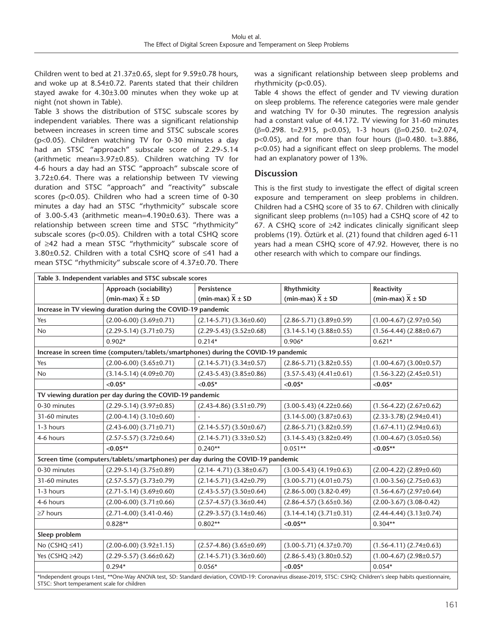Children went to bed at 21.37±0.65, slept for 9.59±0.78 hours, and woke up at 8.54±0.72. Parents stated that their children stayed awake for 4.30±3.00 minutes when they woke up at night (not shown in Table).

Table 3 shows the distribution of STSC subscale scores by independent variables. There was a significant relationship between increases in screen time and STSC subscale scores (p<0.05). Children watching TV for 0-30 minutes a day had an STSC "approach" subscale score of 2.29-5.14 (arithmetic mean=3.97±0.85). Children watching TV for 4-6 hours a day had an STSC "approach" subscale score of 3.72±0.64. There was a relationship between TV viewing duration and STSC "approach" and "reactivity" subscale scores (p<0.05). Children who had a screen time of 0-30 minutes a day had an STSC "rhythmicity" subscale score of 3.00-5.43 (arithmetic mean=4.190±0.63). There was a relationship between screen time and STSC "rhythmicity" subscale scores (p<0.05). Children with a total CSHQ score of ≥42 had a mean STSC "rhythmicity" subscale score of 3.80±0.52. Children with a total CSHQ score of ≤41 had a mean STSC "rhythmicity" subscale score of 4.37±0.70. There

was a significant relationship between sleep problems and rhythmicity (p<0.05).

Table 4 shows the effect of gender and TV viewing duration on sleep problems. The reference categories were male gender and watching TV for 0-30 minutes. The regression analysis had a constant value of 44.172. TV viewing for 31-60 minutes (β=0.298. t=2.915, p<0.05), 1-3 hours (β=0.250. t=2.074, p<0.05), and for more than four hours (β=0.480. t=3.886, p<0.05) had a significant effect on sleep problems. The model had an explanatory power of 13%.

#### **Discussion**

This is the first study to investigate the effect of digital screen exposure and temperament on sleep problems in children. Children had a CSHQ score of 35 to 67. Children with clinically significant sleep problems (n=105) had a CSHQ score of 42 to 67. A CSHQ score of ≥42 indicates clinically significant sleep problems (19). Öztürk et al. (21) found that children aged 6-11 years had a mean CSHQ score of 47.92. However, there is no other research with which to compare our findings.

|                      | Approach (sociability)                                                               | Persistence                       | Rhythmicity                       | Reactivity                      |  |
|----------------------|--------------------------------------------------------------------------------------|-----------------------------------|-----------------------------------|---------------------------------|--|
|                      | (min-max) $\overline{X} \pm SD$                                                      | (min-max) $\overline{X} \pm SD$   | (min-max) $\overline{X} \pm SD$   | (min-max) $\overline{X} \pm SD$ |  |
|                      | Increase in TV viewing duration during the COVID-19 pandemic                         |                                   |                                   |                                 |  |
| Yes                  | $(2.00-6.00)$ $(3.69\pm0.71)$                                                        | $(2.14-5.71)$ $(3.36\pm0.60)$     | $(2.86 - 5.71) (3.89 \pm 0.59)$   | $(1.00-4.67)$ $(2.97\pm0.56)$   |  |
| <b>No</b>            | $(2.29-5.14)$ $(3.71\pm0.75)$                                                        | $(2.29-5.43)$ $(3.52\pm0.68)$     | $(3.14-5.14)$ $(3.88\pm0.55)$     | $(1.56-4.44)$ $(2.88\pm0.67)$   |  |
|                      | $0.902*$                                                                             | $0.214*$                          | $0.906*$                          | $0.621*$                        |  |
|                      | Increase in screen time (computers/tablets/smartphones) during the COVID-19 pandemic |                                   |                                   |                                 |  |
| Yes                  | $(2.00-6.00)$ $(3.65\pm0.71)$                                                        | $(2.14-5.71)$ $(3.34\pm0.57)$     | $(2.86 - 5.71) (3.82 \pm 0.55)$   | $(1.00-4.67)$ $(3.00\pm0.57)$   |  |
| <b>No</b>            | $(3.14-5.14) (4.09 \pm 0.70)$                                                        | $(2.43-5.43)$ $(3.85\pm0.86)$     | $(3.57-5.43)$ $(4.41\pm0.61)$     | $(1.56 - 3.22) (2.45 \pm 0.51)$ |  |
|                      | $< 0.05*$                                                                            | $< 0.05*$                         | $< 0.05*$                         | $< 0.05*$                       |  |
|                      | TV viewing duration per day during the COVID-19 pandemic                             |                                   |                                   |                                 |  |
| 0-30 minutes         | $(2.29-5.14)$ $(3.97\pm0.85)$                                                        | $(2.43-4.86)$ $(3.51\pm0.79)$     | $(3.00-5.43)$ $(4.22\pm0.66)$     | $(1.56-4.22)$ $(2.67\pm0.62)$   |  |
| 31-60 minutes        | $(2.00-4.14)$ $(3.10\pm0.60)$                                                        |                                   | $(3.14 - 5.00) (3.87 \pm 0.63)$   | $(2.33-3.78)$ $(2.94\pm0.41)$   |  |
| 1-3 hours            | $(2.43 - 6.00)$ $(3.71 \pm 0.71)$                                                    | $(2.14 - 5.57)$ $(3.50 \pm 0.67)$ | $(2.86 - 5.71)$ $(3.82 \pm 0.59)$ | $(1.67-4.11)(2.94\pm0.63)$      |  |
| 4-6 hours            | $(2.57-5.57)$ $(3.72\pm0.64)$                                                        | $(2.14-5.71)$ $(3.33\pm0.52)$     | $(3.14-5.43)$ $(3.82\pm0.49)$     | $(1.00-4.67)$ $(3.05\pm0.56)$   |  |
|                      | $< 0.05**$                                                                           | $0.240**$                         | $0.051**$                         | $< 0.05**$                      |  |
|                      | Screen time (computers/tablets/smartphones) per day during the COVID-19 pandemic     |                                   |                                   |                                 |  |
| 0-30 minutes         | $(2.29-5.14)$ $(3.75\pm0.89)$                                                        | $(2.14 - 4.71)$ $(3.38 \pm 0.67)$ | $(3.00-5.43)$ $(4.19\pm0.63)$     | $(2.00-4.22)$ $(2.89\pm0.60)$   |  |
| 31-60 minutes        | $(2.57 - 5.57)$ $(3.73 \pm 0.79)$                                                    | $(2.14-5.71)$ $(3.42\pm0.79)$     | $(3.00-5.71)$ $(4.01\pm0.75)$     | $(1.00-3.56)$ $(2.75\pm0.63)$   |  |
| 1-3 hours            | $(2.71 - 5.14) (3.69 \pm 0.60)$                                                      | $(2.43-5.57)$ $(3.50\pm0.64)$     | $(2.86 - 5.00)$ $(3.82 - 0.49)$   | $(1.56-4.67)$ $(2.97\pm0.64)$   |  |
| 4-6 hours            | $(2.00-6.00)$ $(3.71\pm0.66)$                                                        | $(2.57-4.57)$ $(3.36\pm0.44)$     | $(2.86-4.57)$ $(3.65\pm0.36)$     | $(2.00-3.67)$ $(3.08-0.42)$     |  |
| $\geq$ 7 hours       | $(2.71-4.00)$ $(3.41-0.46)$                                                          | $(2.29-3.57)$ $(3.14\pm0.46)$     | $(3.14-4.14)$ $(3.71\pm0.31)$     | $(2.44-4.44)$ $(3.13\pm0.74)$   |  |
|                      | $0.828**$                                                                            | $0.802**$                         | $< 0.05**$                        | $0.304**$                       |  |
| Sleep problem        |                                                                                      |                                   |                                   |                                 |  |
| No (CSHQ ≤41)        | $(2.00-6.00)$ $(3.92\pm1.15)$                                                        | $(2.57-4.86)$ $(3.65\pm0.69)$     | $(3.00-5.71) (4.37 \pm 0.70)$     | $(1.56-4.11)(2.74\pm0.63)$      |  |
| Yes (CSHQ $\geq$ 42) | $(2.29-5.57)$ $(3.66\pm0.62)$                                                        | $(2.14-5.71)$ $(3.36\pm0.60)$     | $(2.86-5.43)$ $(3.80\pm0.52)$     | $(1.00-4.67)$ $(2.98\pm0.57)$   |  |
|                      | $0.294*$                                                                             | $0.056*$                          | $< 0.05*$                         | $0.054*$                        |  |

STSC: Short temperament scale for children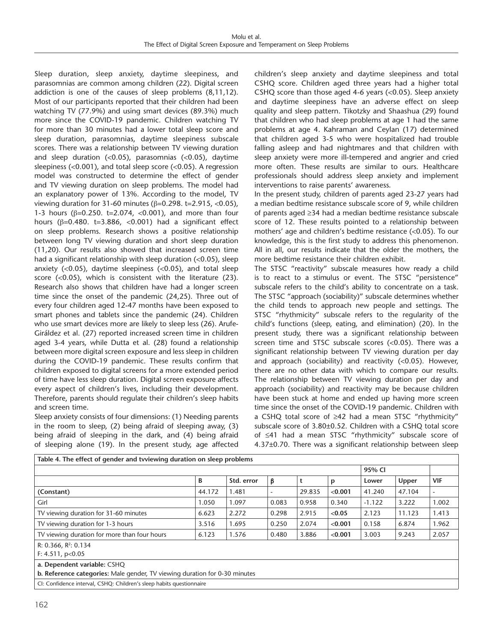Sleep duration, sleep anxiety, daytime sleepiness, and parasomnias are common among children (22). Digital screen addiction is one of the causes of sleep problems (8,11,12). Most of our participants reported that their children had been watching TV (77.9%) and using smart devices (89.3%) much more since the COVID-19 pandemic. Children watching TV for more than 30 minutes had a lower total sleep score and sleep duration, parasomnias, daytime sleepiness subscale scores. There was a relationship between TV viewing duration and sleep duration (<0.05), parasomnias (<0.05), daytime sleepiness (<0.001), and total sleep score (<0.05). A regression model was constructed to determine the effect of gender and TV viewing duration on sleep problems. The model had an explanatory power of 13%. According to the model, TV viewing duration for 31-60 minutes (β=0.298. t=2.915, <0.05), 1-3 hours (β=0.250. t=2.074, <0.001), and more than four hours ( $\beta$ =0.480. t=3.886, <0.001) had a significant effect on sleep problems. Research shows a positive relationship between long TV viewing duration and short sleep duration (11,20). Our results also showed that increased screen time had a significant relationship with sleep duration (<0.05), sleep anxiety (<0.05), daytime sleepiness (<0.05), and total sleep score (<0.05), which is consistent with the literature (23). Research also shows that children have had a longer screen time since the onset of the pandemic (24,25). Three out of every four children aged 12-47 months have been exposed to smart phones and tablets since the pandemic (24). Children who use smart devices more are likely to sleep less (26). Arufe-Giráldez et al. (27) reported increased screen time in children aged 3-4 years, while Dutta et al. (28) found a relationship between more digital screen exposure and less sleep in children during the COVID-19 pandemic. These results confirm that children exposed to digital screens for a more extended period of time have less sleep duration. Digital screen exposure affects every aspect of children's lives, including their development. Therefore, parents should regulate their children's sleep habits and screen time.

Sleep anxiety consists of four dimensions: (1) Needing parents in the room to sleep, (2) being afraid of sleeping away, (3) being afraid of sleeping in the dark, and (4) being afraid of sleeping alone (19). In the present study, age affected children's sleep anxiety and daytime sleepiness and total CSHQ score. Children aged three years had a higher total CSHQ score than those aged 4-6 years (<0.05). Sleep anxiety and daytime sleepiness have an adverse effect on sleep quality and sleep pattern. Tikotzky and Shaashua (29) found that children who had sleep problems at age 1 had the same problems at age 4. Kahraman and Ceylan (17) determined that children aged 3-5 who were hospitalized had trouble falling asleep and had nightmares and that children with sleep anxiety were more ill-tempered and angrier and cried more often. These results are similar to ours. Healthcare professionals should address sleep anxiety and implement interventions to raise parents' awareness.

In the present study, children of parents aged 23-27 years had a median bedtime resistance subscale score of 9, while children of parents aged ≥34 had a median bedtime resistance subscale score of 12. These results pointed to a relationship between mothers' age and children's bedtime resistance (<0.05). To our knowledge, this is the first study to address this phenomenon. All in all, our results indicate that the older the mothers, the more bedtime resistance their children exhibit.

The STSC "reactivity" subscale measures how ready a child is to react to a stimulus or event. The STSC "persistence" subscale refers to the child's ability to concentrate on a task. The STSC "approach (sociability)" subscale determines whether the child tends to approach new people and settings. The STSC "rhythmicity" subscale refers to the regularity of the child's functions (sleep, eating, and elimination) (20). In the present study, there was a significant relationship between screen time and STSC subscale scores (<0.05). There was a significant relationship between TV viewing duration per day and approach (sociability) and reactivity (<0.05). However, there are no other data with which to compare our results. The relationship between TV viewing duration per day and approach (sociability) and reactivity may be because children have been stuck at home and ended up having more screen time since the onset of the COVID-19 pandemic. Children with a CSHQ total score of ≥42 had a mean STSC "rhythmicity" subscale score of 3.80±0.52. Children with a CSHQ total score of ≤41 had a mean STSC "rhythmicity" subscale score of 4.37±0.70. There was a significant relationship between sleep

| Table 4. The effect of gender and tyviewing duration on sleep problems                                    |        |            |                          |        |         |          |        |       |  |  |
|-----------------------------------------------------------------------------------------------------------|--------|------------|--------------------------|--------|---------|----------|--------|-------|--|--|
|                                                                                                           |        |            |                          |        |         |          | 95% CI |       |  |  |
|                                                                                                           | B      | Std. error | β                        |        | p       | Lower    | Upper  | VIF   |  |  |
| (Constant)                                                                                                | 44.172 | 1.481      | $\overline{\phantom{0}}$ | 29.835 | < 0.001 | 41.240   | 47.104 | ٠     |  |  |
| Girl                                                                                                      | 1.050  | 1.097      | 0.083                    | 0.958  | 0.340   | $-1.122$ | 3.222  | 1.002 |  |  |
| TV viewing duration for 31-60 minutes                                                                     | 6.623  | 2.272      | 0.298                    | 2.915  | < 0.05  | 2.123    | 11.123 | 1.413 |  |  |
| TV viewing duration for 1-3 hours                                                                         | 3.516  | 1.695      | 0.250                    | 2.074  | < 0.001 | 0.158    | 6.874  | 1.962 |  |  |
| TV viewing duration for more than four hours                                                              | 6.123  | 1.576      | 0.480                    | 3.886  | < 0.001 | 3.003    | 9.243  | 2.057 |  |  |
| R: 0.366, $R^2$ : 0.134<br>F: 4.511, p<0.05                                                               |        |            |                          |        |         |          |        |       |  |  |
| a. Dependent variable: CSHQ<br>b. Reference categories: Male gender, TV viewing duration for 0-30 minutes |        |            |                          |        |         |          |        |       |  |  |
| CI: Confidence interval, CSHQ: Children's sleep habits questionnaire                                      |        |            |                          |        |         |          |        |       |  |  |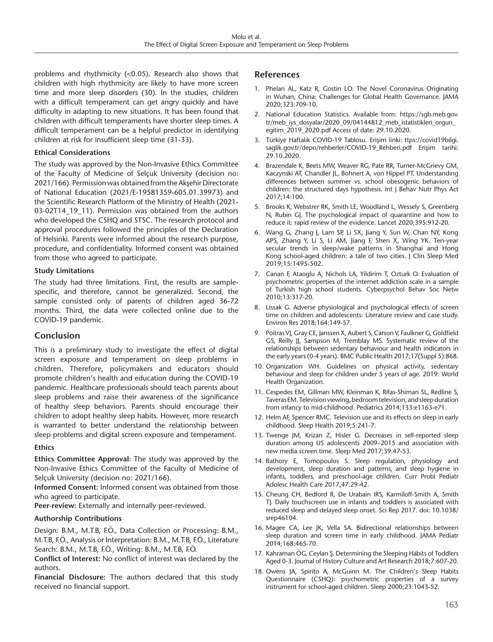problems and rhythmicity (<0.05). Research also shows that children with high rhythmicity are likely to have more screen time and more sleep disorders (30). In the studies, children with a difficult temperament can get angry quickly and have difficulty in adapting to new situations. It has been found that children with difficult temperaments have shorter sleep times. A difficult temperament can be a helpful predictor in identifying children at risk for insufficient sleep time (31-33).

#### **Ethical Considerations**

The study was approved by the Non-Invasive Ethics Committee of the Faculty of Medicine of Selçuk University (decision no: 2021/166). Permission was obtained from the Akşehir Directorate of National Education (2021/E-19581359-605.01.39973) and the Scientific Research Platform of the Ministry of Health (2021- 03-02T14\_19\_11). Permission was obtained from the authors who developed the CSHQ and STSC. The research protocol and approval procedures followed the principles of the Declaration of Helsinki. Parents were informed about the research purpose, procedure, and confidentiality. Informed consent was obtained from those who agreed to participate.

#### **Study Limitations**

The study had three limitations. First, the results are samplespecific, and therefore, cannot be generalized. Second, the sample consisted only of parents of children aged 36-72 months. Third, the data were collected online due to the COVID-19 pandemic.

#### **Conclusion**

This is a preliminary study to investigate the effect of digital screen exposure and temperament on sleep problems in children. Therefore, policymakers and educators should promote children's health and education during the COVID-19 pandemic. Healthcare professionals should teach parents about sleep problems and raise their awareness of the significance of healthy sleep behaviors. Parents should encourage their children to adopt healthy sleep habits. However, more research is warranted to better understand the relationship between sleep problems and digital screen exposure and temperament.

#### **Ethics**

**Ethics Committee Approval:** The study was approved by the Non-Invasive Ethics Committee of the Faculty of Medicine of Selçuk University (decision no: 2021/166).

**Informed Consent:** Informed consent was obtained from those who agreed to participate.

**Peer-review:** Externally and internally peer-reviewed.

#### **Authorship Contributions**

Design: B.M., M.T.B, F.Ö., Data Collection or Processing: B.M., M.T.B, F.Ö., Analysis or Interpretation: B.M., M.T.B, F.Ö., Literature Search: B.M., M.T.B, F.Ö., Writing: B.M., M.T.B, F.Ö.

**Conflict of Interest:** No conflict of interest was declared by the authors.

**Financial Disclosure:** The authors declared that this study received no financial support.

#### **References**

- 1. Phelan AL, Katz R, Gostin LO. The Novel Coronavirus Originating in Wuhan, China: Challenges for Global Health Governance. JAMA 2020;323:709-10.
- 2. National Education Statistics. Available from: https://sgb.meb.gov. tr/meb\_iys\_dosyalar/2020\_09/04144812\_meb\_istatistikleri\_orgun egitim\_2019\_2020.pdf Access of date: 29.10.2020.
- 3. Türkiye Haftalık COVID-19 Tablosu. Erişim linki: ttps://covid19bilgi. saglik.gov.tr/depo/rehberler/COVID-19\_Rehberi.pdf Erişim tarihi: 29.10.2020.
- 4. Brazendale K, Beets MW, Weaver RG, Pate RR, Turner-McGrievy GM, Kaczynski AT, Chandler JL, Bohnert A, von Hippel PT. Understanding differences between summer vs. school obesogenic behaviors of children: the structured days hypothesis. Int J Behav Nutr Phys Act 2017;14:100.
- 5. Brooks K, Webstrer RK, Smith LE, Woodland L, Wessely S, Greenberg N, Rubin GJ. The psychological impact of quarantine and how to reduce it: rapid review of the evidence. Lancet 2020;395:912-20.
- 6. Wang G, Zhang J, Lam SP, Li SX, Jiang Y, Sun W, Chan NY, Kong APS, Zhang Y, Li S, Li AM, Jiang F, Shen X, Wing YK. Ten-year secular trends in sleep/wake patterns in Shanghai and Hong Kong school-aged children: a tale of two cities. J Clin Sleep Med 2019;15:1495-502.
- 7. Canan F, Ataoglu A, Nichols LA, Yildirim T, Ozturk O. Evaluation of psychometric properties of the internet addiction scale in a sample of Turkish high school students. Cyberpsychol Behav Soc Netw 2010;13:317-20.
- 8. Lissak G. Adverse physiological and psychological effects of screen time on children and adolescents: Literature review and case study. Environ Res 2018;164:149-57.
- 9. Poitras VJ, Gray CE, Janssen X, Aubert S, Carson V, Faulkner G, Goldfield GS, Reilly JJ, Sampson M, Tremblay MS. Systematic review of the relationships between sedentary behaviour and health indicators in the early years (0-4 years). BMC Public Health 2017;17(Suppl 5):868.
- 10. Organization WH. Guidelines on physical activity, sedentary behaviour and sleep for children under 5 years of age. 2019: World Health Organization.
- 11. Cespedes EM, Gillman MW, Kleinman K, Rifas-Shiman SL, Redline S, Taveras EM. Television viewing, bedroom television, and sleep duration from infancy to mid-childhood. Pediatrics 2014;133:e1163-e71.
- 12. Helm AF, Spencer RMC. Television use and its effects on sleep in early childhood. Sleep Health 2019;5:241-7.
- 13. Twenge JM, Krizan Z, Hisler G. Decreases in self-reported sleep duration among US adolescents 2009–2015 and association with new media screen time. Sleep Med 2017;39:47-53.
- 14. Bathory E, Tomopoulos S. Sleep regulation, physiology and development, sleep duration and patterns, and sleep hygiene in infants, toddlers, and preschool-age children. Curr Probl Pediatr Adolesc Health Care 2017,47:29-42.
- 15. Cheung CH, Bedford R, De Urabain IRS, Karmiloff-Smith A, Smith TJ. Daily touchscreen use in infants and toddlers is associated with reduced sleep and delayed sleep onset. Sci Rep 2017. doi: 10.1038/ srep46104.
- 16. Magee CA, Lee JK, Vella SA. Bidirectional relationships between sleep duration and screen time in early childhood. JAMA Pediatr 2014;168:465-70.
- 17. Kahraman ÖG, Ceylan Ş. Determining the Sleeping Habits of Toddlers Aged 0-3. Journal of History Culture and Art Research 2018;7:607-20.
- 18. Owens JA, Spirito A, McGuinn M. The Children's Sleep Habits Questionnaire (CSHQ): psychometric properties of a survey instrument for school-aged children. Sleep 2000;23:1043-52.